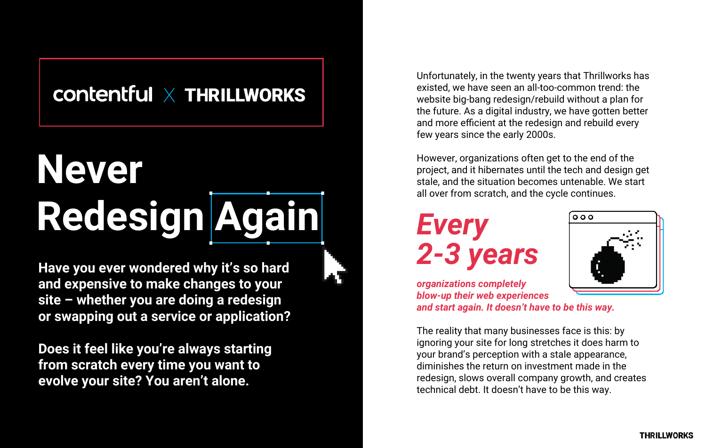**Have you ever wondered why it's so hard and expensive to make changes to your site – whether you are doing a redesign or swapping out a service or application?** 

**Does it feel like you're always starting from scratch every time you want to evolve your site? You aren't alone.**

Unfortunately, in the twenty years that Thrillworks has existed, we have seen an all-too-common trend: the website big-bang redesign/rebuild without a plan for the future. As a digital industry, we have gotten better and more efficient at the redesign and rebuild every few years since the early 2000s.

However, organizations often get to the end of the project, and it hibernates until the tech and design get stale, and the situation becomes untenable. We start all over from scratch, and the cycle continues.





*organizations completely blow-up their web experiences and start again. It doesn't have to be this way.*

The reality that many businesses face is this: by ignoring your site for long stretches it does harm to your brand's perception with a stale appearance, diminishes the return on investment made in the redesign, slows overall company growth, and creates technical debt. It doesn't have to be this way.

## $\text{contentful} \times \text{THRILIWORS}$

## **Never Redesign Again**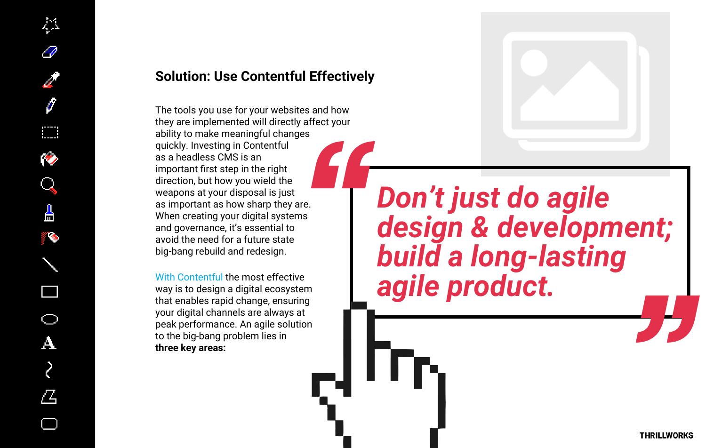

### **Solution: Use Contentful Effectively**

The tools you use for your websites and how they are implemented will directly affect your ability to make meaningful changes quickly. Investing in Contentful as a headless CMS is an important first step in the right direction, but how you wield the weapons at your disposal is just as important as how sharp they are. When creating your digital systems and governance, it's essential to avoid the need for a future state big-bang rebuild and redesign. es<br>re.<br>IS

With Contentful the most effective way is to design a digital ecosystem that enables rapid change, ensuring your digital channels are always at peak performance. An agile solution to the big-bang problem lies in **three key areas:**



# *Don't just do agile design & development; build a long-lasting agile product. "*

**THRILLWORKS**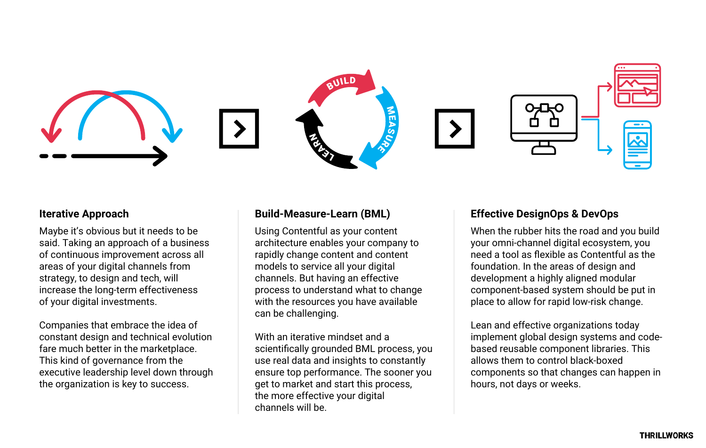#### **Iterative Approach Build-Measure-Learn (BML) Effective DesignOps & DevOps**





Maybe it's obvious but it needs to be said. Taking an approach of a business of continuous improvement across all areas of your digital channels from strategy, to design and tech, will increase the long-term effectiveness of your digital investments.

Companies that embrace the idea of constant design and technical evolution fare much better in the marketplace. This kind of governance from the executive leadership level down through the organization is key to success.

Using Contentful as your content architecture enables your company to rapidly change content and content models to service all your digital channels. But having an effective process to understand what to change with the resources you have available can be challenging.

With an iterative mindset and a scientifically grounded BML process, you use real data and insights to constantly ensure top performance. The sooner you get to market and start this process, the more effective your digital channels will be.



When the rubber hits the road and you build your omni-channel digital ecosystem, you need a tool as flexible as Contentful as the foundation. In the areas of design and development a highly aligned modular component-based system should be put in place to allow for rapid low-risk change.

Lean and effective organizations today implement global design systems and codebased reusable component libraries. This allows them to control black-boxed components so that changes can happen in hours, not days or weeks.